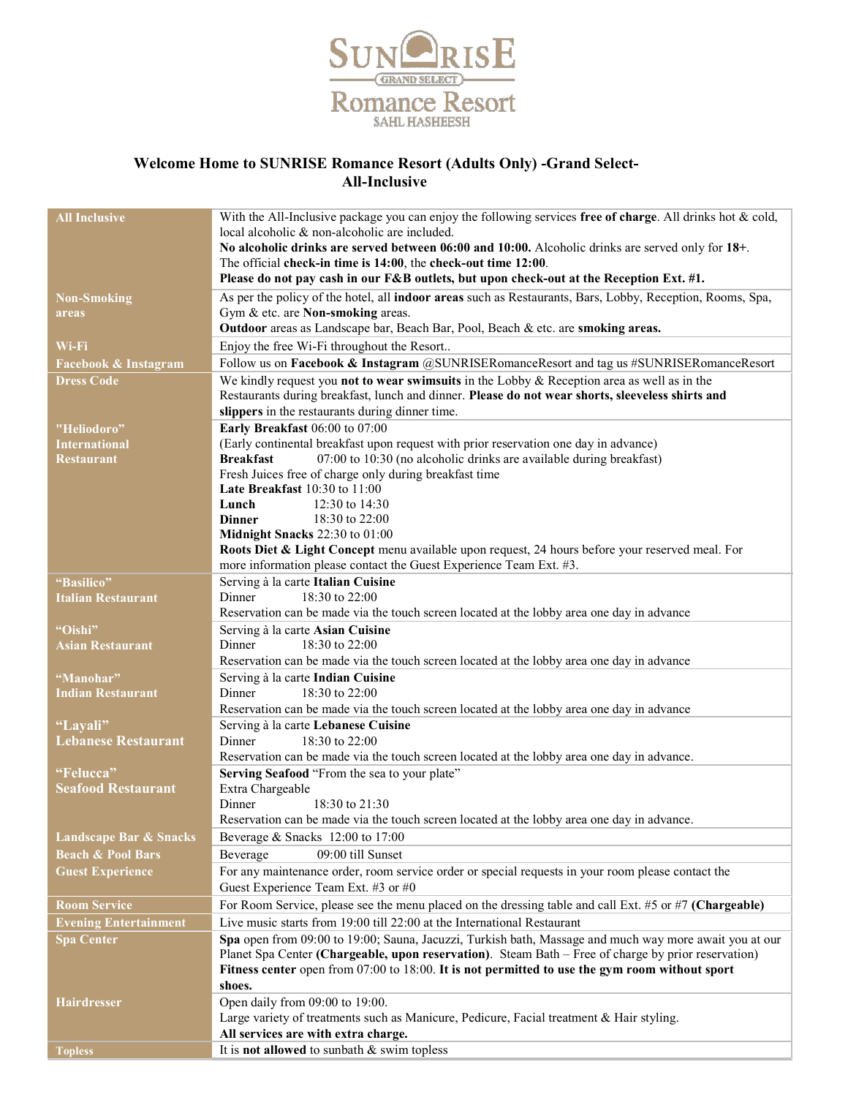

## Welcome Home to SUNRISE Romance Resort (Adults Only) -Grand Select- All-Inclusive

| <b>All Inclusive</b>                    | With the All-Inclusive package you can enjoy the following services free of charge. All drinks hot & cold,                                          |
|-----------------------------------------|-----------------------------------------------------------------------------------------------------------------------------------------------------|
|                                         | local alcoholic & non-alcoholic are included.                                                                                                       |
|                                         | No alcoholic drinks are served between 06:00 and 10:00. Alcoholic drinks are served only for 18+.                                                   |
|                                         | The official check-in time is 14:00, the check-out time 12:00.                                                                                      |
|                                         | Please do not pay cash in our F&B outlets, but upon check-out at the Reception Ext. #1.                                                             |
| <b>Non-Smoking</b>                      | As per the policy of the hotel, all indoor areas such as Restaurants, Bars, Lobby, Reception, Rooms, Spa,                                           |
| areas                                   | Gym & etc. are Non-smoking areas.                                                                                                                   |
|                                         | Outdoor areas as Landscape bar, Beach Bar, Pool, Beach & etc. are smoking areas.                                                                    |
| Wi-Fi                                   | Enjoy the free Wi-Fi throughout the Resort                                                                                                          |
| Facebook & Instagram                    | Follow us on Facebook & Instagram @SUNRISERomanceResort and tag us #SUNRISERomanceResort                                                            |
| <b>Dress Code</b>                       | We kindly request you not to wear swimsuits in the Lobby $\&$ Reception area as well as in the                                                      |
|                                         | Restaurants during breakfast, lunch and dinner. Please do not wear shorts, sleeveless shirts and<br>slippers in the restaurants during dinner time. |
| "Heliodoro"                             | Early Breakfast 06:00 to 07:00                                                                                                                      |
| <b>International</b>                    | (Early continental breakfast upon request with prior reservation one day in advance)                                                                |
| <b>Restaurant</b>                       | 07:00 to 10:30 (no alcoholic drinks are available during breakfast)<br><b>Breakfast</b>                                                             |
|                                         | Fresh Juices free of charge only during breakfast time                                                                                              |
|                                         | Late Breakfast 10:30 to 11:00                                                                                                                       |
|                                         | Lunch<br>12:30 to 14:30                                                                                                                             |
|                                         | <b>Dinner</b><br>18:30 to 22:00                                                                                                                     |
|                                         | Midnight Snacks 22:30 to 01:00                                                                                                                      |
|                                         | Roots Diet & Light Concept menu available upon request, 24 hours before your reserved meal. For                                                     |
|                                         | more information please contact the Guest Experience Team Ext. #3.                                                                                  |
| "Basilico"<br><b>Italian Restaurant</b> | Serving à la carte Italian Cuisine<br>Dinner<br>$18:30$ to $22:00$                                                                                  |
|                                         | Reservation can be made via the touch screen located at the lobby area one day in advance                                                           |
| "Oishi"                                 | Serving à la carte Asian Cuisine                                                                                                                    |
| <b>Asian Restaurant</b>                 | Dinner<br>$18:30$ to $22:00$                                                                                                                        |
|                                         | Reservation can be made via the touch screen located at the lobby area one day in advance                                                           |
| "Manohar"                               | Serving à la carte Indian Cuisine                                                                                                                   |
| <b>Indian Restaurant</b>                | Dinner<br>18:30 to 22:00                                                                                                                            |
|                                         | Reservation can be made via the touch screen located at the lobby area one day in advance                                                           |
| "Lavali"                                | Serving à la carte Lebanese Cuisine                                                                                                                 |
| <b>Lebanese Restaurant</b>              | Dinner<br>18:30 to 22:00                                                                                                                            |
|                                         | Reservation can be made via the touch screen located at the lobby area one day in advance.                                                          |
| "Felucca"                               | Serving Seafood "From the sea to your plate"                                                                                                        |
| <b>Seafood Restaurant</b>               | Extra Chargeable<br>Dinner<br>18:30 to 21:30                                                                                                        |
|                                         | Reservation can be made via the touch screen located at the lobby area one day in advance.                                                          |
| Landscape Bar & Snacks                  | Beverage & Snacks 12:00 to 17:00                                                                                                                    |
| <b>Beach &amp; Pool Bars</b>            | Beverage<br>09:00 till Sunset                                                                                                                       |
| <b>Guest Experience</b>                 | For any maintenance order, room service order or special requests in your room please contact the                                                   |
|                                         | Guest Experience Team Ext. #3 or #0                                                                                                                 |
| <b>Room Service</b>                     | For Room Service, please see the menu placed on the dressing table and call Ext. #5 or #7 (Chargeable)                                              |
| <b>Evening Entertainment</b>            | Live music starts from 19:00 till 22:00 at the International Restaurant                                                                             |
| <b>Spa Center</b>                       | Spa open from 09:00 to 19:00; Sauna, Jacuzzi, Turkish bath, Massage and much way more await you at our                                              |
|                                         | Planet Spa Center (Chargeable, upon reservation). Steam Bath - Free of charge by prior reservation)                                                 |
|                                         | Fitness center open from 07:00 to 18:00. It is not permitted to use the gym room without sport                                                      |
|                                         | shoes.                                                                                                                                              |
| <b>Hairdresser</b>                      | Open daily from 09:00 to 19:00.                                                                                                                     |
|                                         | Large variety of treatments such as Manicure, Pedicure, Facial treatment & Hair styling.                                                            |
|                                         | All services are with extra charge.                                                                                                                 |
| <b>Topless</b>                          | It is not allowed to sunbath & swim topless                                                                                                         |
|                                         |                                                                                                                                                     |